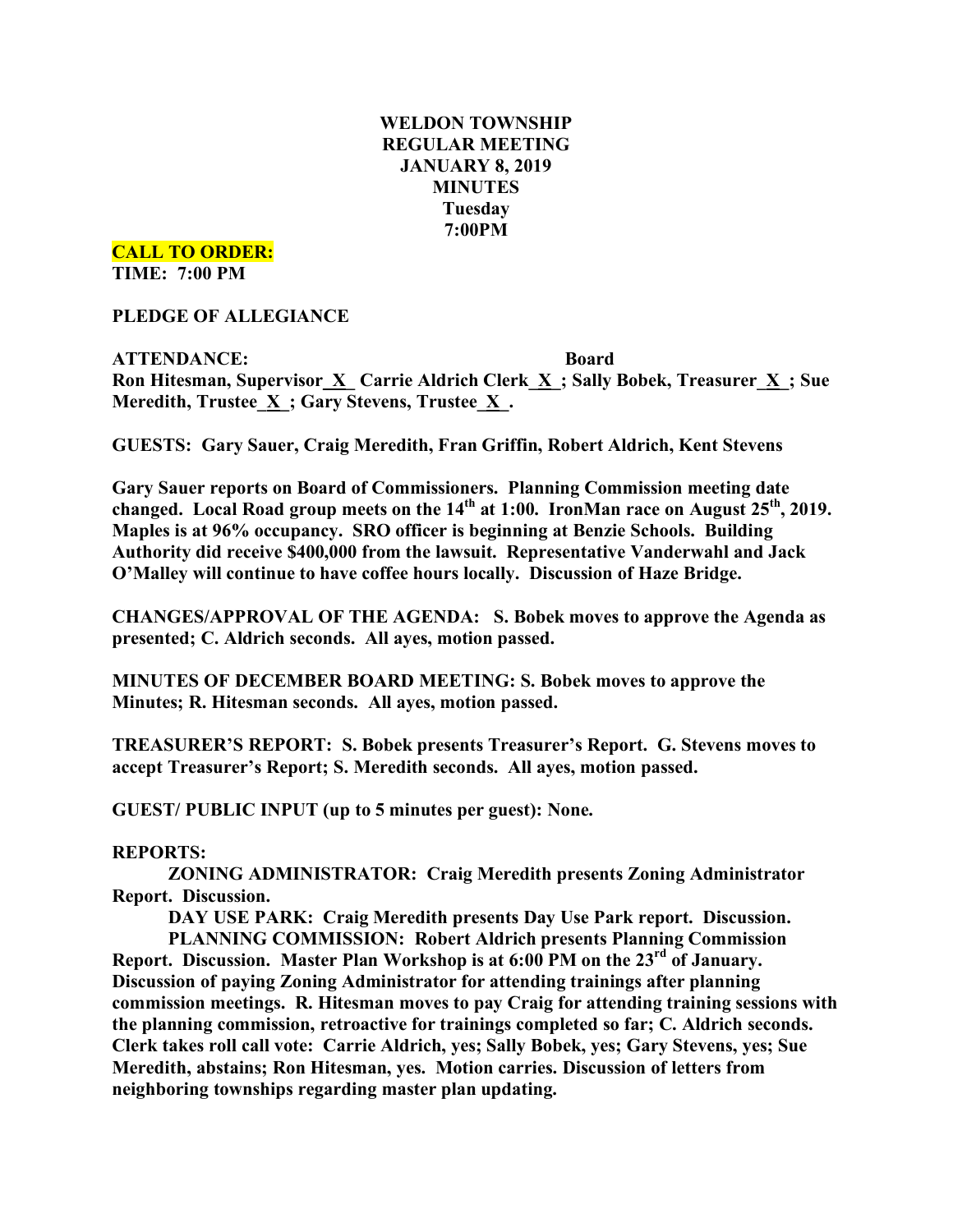# **WELDON TOWNSHIP REGULAR MEETING JANUARY 8, 2019 MINUTES Tuesday 7:00PM**

**CALL TO ORDER:**

**TIME: 7:00 PM**

**PLEDGE OF ALLEGIANCE**

**ATTENDANCE: Board Ron Hitesman, Supervisor\_X\_ Carrie Aldrich Clerk\_X\_; Sally Bobek, Treasurer\_X\_; Sue Meredith, Trustee**  $\underline{X}$  **; Gary Stevens, Trustee**  $\underline{X}$ **.** 

**GUESTS: Gary Sauer, Craig Meredith, Fran Griffin, Robert Aldrich, Kent Stevens**

**Gary Sauer reports on Board of Commissioners. Planning Commission meeting date changed. Local Road group meets on the 14th at 1:00. IronMan race on August 25th, 2019. Maples is at 96% occupancy. SRO officer is beginning at Benzie Schools. Building Authority did receive \$400,000 from the lawsuit. Representative Vanderwahl and Jack O'Malley will continue to have coffee hours locally. Discussion of Haze Bridge.**

**CHANGES/APPROVAL OF THE AGENDA: S. Bobek moves to approve the Agenda as presented; C. Aldrich seconds. All ayes, motion passed.**

**MINUTES OF DECEMBER BOARD MEETING: S. Bobek moves to approve the Minutes; R. Hitesman seconds. All ayes, motion passed.**

**TREASURER'S REPORT: S. Bobek presents Treasurer's Report. G. Stevens moves to accept Treasurer's Report; S. Meredith seconds. All ayes, motion passed.**

**GUEST/ PUBLIC INPUT (up to 5 minutes per guest): None.**

## **REPORTS:**

**ZONING ADMINISTRATOR: Craig Meredith presents Zoning Administrator Report. Discussion.**

**DAY USE PARK: Craig Meredith presents Day Use Park report. Discussion.**

**PLANNING COMMISSION: Robert Aldrich presents Planning Commission**

**Report. Discussion. Master Plan Workshop is at 6:00 PM on the 23rd of January. Discussion of paying Zoning Administrator for attending trainings after planning commission meetings. R. Hitesman moves to pay Craig for attending training sessions with the planning commission, retroactive for trainings completed so far; C. Aldrich seconds. Clerk takes roll call vote: Carrie Aldrich, yes; Sally Bobek, yes; Gary Stevens, yes; Sue Meredith, abstains; Ron Hitesman, yes. Motion carries. Discussion of letters from neighboring townships regarding master plan updating.**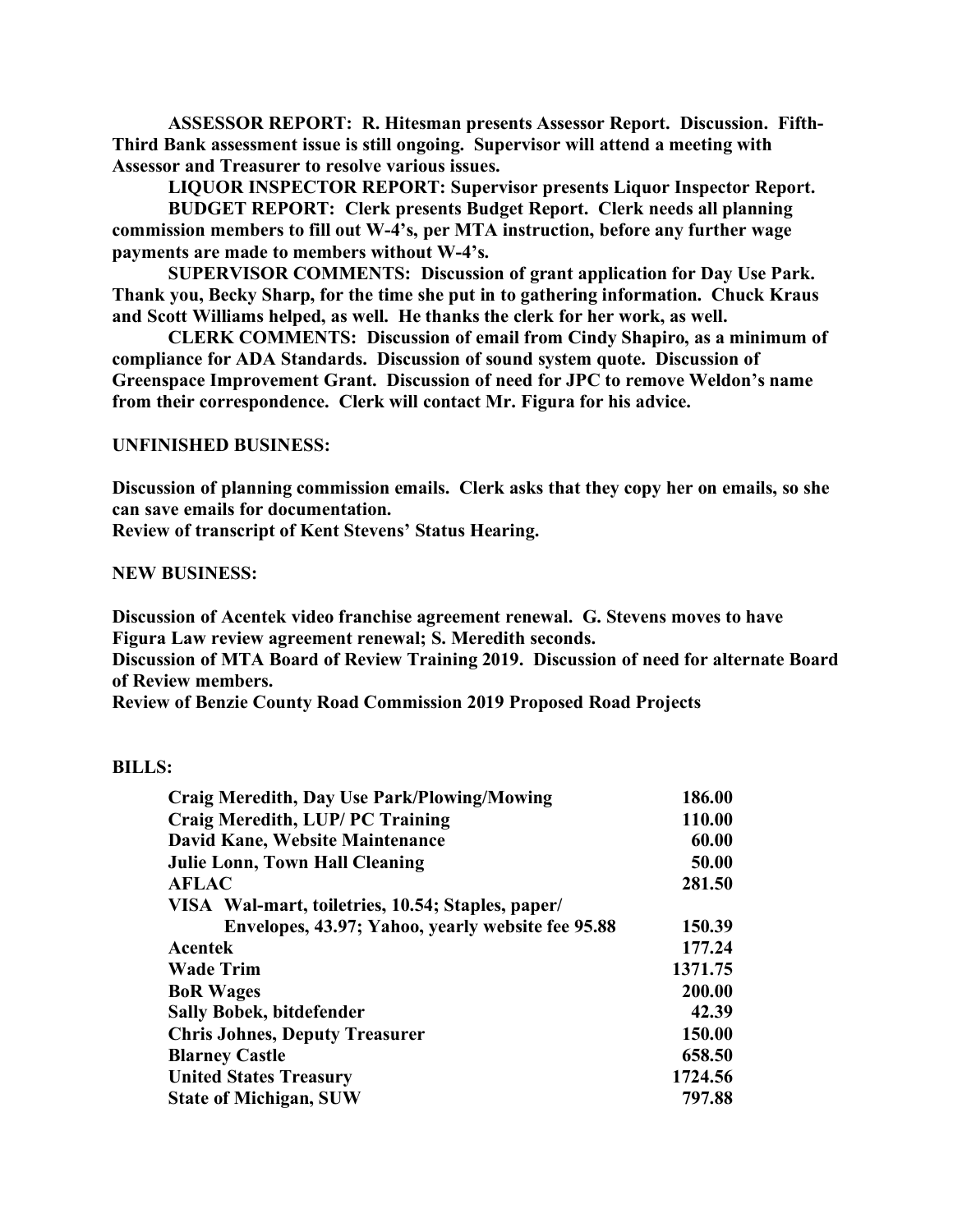**ASSESSOR REPORT: R. Hitesman presents Assessor Report. Discussion. Fifth-Third Bank assessment issue is still ongoing. Supervisor will attend a meeting with Assessor and Treasurer to resolve various issues.**

**LIQUOR INSPECTOR REPORT: Supervisor presents Liquor Inspector Report.**

**BUDGET REPORT: Clerk presents Budget Report. Clerk needs all planning commission members to fill out W-4's, per MTA instruction, before any further wage payments are made to members without W-4's.**

**SUPERVISOR COMMENTS: Discussion of grant application for Day Use Park. Thank you, Becky Sharp, for the time she put in to gathering information. Chuck Kraus and Scott Williams helped, as well. He thanks the clerk for her work, as well.**

**CLERK COMMENTS: Discussion of email from Cindy Shapiro, as a minimum of compliance for ADA Standards. Discussion of sound system quote. Discussion of Greenspace Improvement Grant. Discussion of need for JPC to remove Weldon's name from their correspondence. Clerk will contact Mr. Figura for his advice.**

### **UNFINISHED BUSINESS:**

**Discussion of planning commission emails. Clerk asks that they copy her on emails, so she can save emails for documentation.**

**Review of transcript of Kent Stevens' Status Hearing.**

#### **NEW BUSINESS:**

**Discussion of Acentek video franchise agreement renewal. G. Stevens moves to have Figura Law review agreement renewal; S. Meredith seconds.**

**Discussion of MTA Board of Review Training 2019. Discussion of need for alternate Board of Review members.**

**Review of Benzie County Road Commission 2019 Proposed Road Projects**

#### **BILLS:**

| <b>Craig Meredith, Day Use Park/Plowing/Mowing</b> | 186.00  |
|----------------------------------------------------|---------|
| Craig Meredith, LUP/PC Training                    | 110.00  |
| David Kane, Website Maintenance                    | 60.00   |
| <b>Julie Lonn, Town Hall Cleaning</b>              | 50.00   |
| <b>AFLAC</b>                                       | 281.50  |
| VISA Wal-mart, toiletries, 10.54; Staples, paper/  |         |
| Envelopes, 43.97; Yahoo, yearly website fee 95.88  | 150.39  |
| Acentek                                            | 177.24  |
| <b>Wade Trim</b>                                   | 1371.75 |
| <b>BoR</b> Wages                                   | 200.00  |
| <b>Sally Bobek, bitdefender</b>                    | 42.39   |
| <b>Chris Johnes, Deputy Treasurer</b>              | 150.00  |
| <b>Blarney Castle</b>                              | 658.50  |
| <b>United States Treasury</b>                      | 1724.56 |
| <b>State of Michigan, SUW</b>                      | 797.88  |